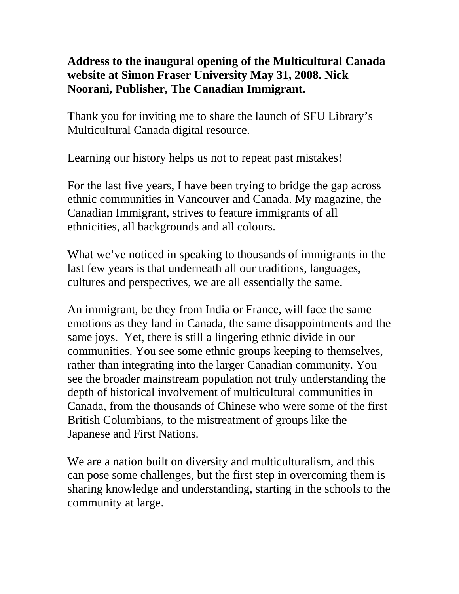## **Address to the inaugural opening of the Multicultural Canada website at Simon Fraser University May 31, 2008. Nick Noorani, Publisher, The Canadian Immigrant.**

Thank you for inviting me to share the launch of SFU Library's Multicultural Canada digital resource.

Learning our history helps us not to repeat past mistakes!

For the last five years, I have been trying to bridge the gap across ethnic communities in Vancouver and Canada. My magazine, the Canadian Immigrant, strives to feature immigrants of all ethnicities, all backgrounds and all colours.

What we've noticed in speaking to thousands of immigrants in the last few years is that underneath all our traditions, languages, cultures and perspectives, we are all essentially the same.

An immigrant, be they from India or France, will face the same emotions as they land in Canada, the same disappointments and the same joys. Yet, there is still a lingering ethnic divide in our communities. You see some ethnic groups keeping to themselves, rather than integrating into the larger Canadian community. You see the broader mainstream population not truly understanding the depth of historical involvement of multicultural communities in Canada, from the thousands of Chinese who were some of the first British Columbians, to the mistreatment of groups like the Japanese and First Nations.

We are a nation built on diversity and multiculturalism, and this can pose some challenges, but the first step in overcoming them is sharing knowledge and understanding, starting in the schools to the community at large.